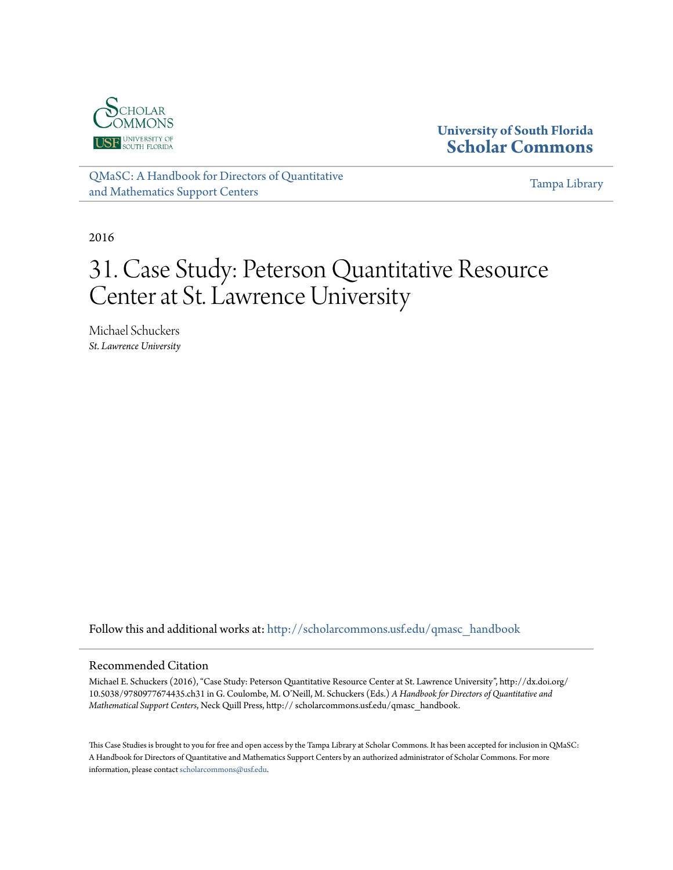

#### **University of South Florida [Scholar Commons](http://scholarcommons.usf.edu?utm_source=scholarcommons.usf.edu%2Fqmasc_handbook%2F31&utm_medium=PDF&utm_campaign=PDFCoverPages)**

[QMaSC: A Handbook for Directors of Quantitative](http://scholarcommons.usf.edu/qmasc_handbook?utm_source=scholarcommons.usf.edu%2Fqmasc_handbook%2F31&utm_medium=PDF&utm_campaign=PDFCoverPages) [and Mathematics Support Centers](http://scholarcommons.usf.edu/qmasc_handbook?utm_source=scholarcommons.usf.edu%2Fqmasc_handbook%2F31&utm_medium=PDF&utm_campaign=PDFCoverPages)

[Tampa Library](http://scholarcommons.usf.edu/tlib?utm_source=scholarcommons.usf.edu%2Fqmasc_handbook%2F31&utm_medium=PDF&utm_campaign=PDFCoverPages)

2016

# 31. Case Study: Peterson Quantitative Resource Center at St. Lawrence University

Michael Schuckers *St. Lawrence University*

Follow this and additional works at: [http://scholarcommons.usf.edu/qmasc\\_handbook](http://scholarcommons.usf.edu/qmasc_handbook?utm_source=scholarcommons.usf.edu%2Fqmasc_handbook%2F31&utm_medium=PDF&utm_campaign=PDFCoverPages)

#### Recommended Citation

Michael E. Schuckers (2016), "Case Study: Peterson Quantitative Resource Center at St. Lawrence University", http://dx.doi.org/ 10.5038/9780977674435.ch31 in G. Coulombe, M. O'Neill, M. Schuckers (Eds.) *A Handbook for Directors of Quantitative and Mathematical Support Centers*, Neck Quill Press, http:// scholarcommons.usf.edu/qmasc\_handbook.

This Case Studies is brought to you for free and open access by the Tampa Library at Scholar Commons. It has been accepted for inclusion in QMaSC: A Handbook for Directors of Quantitative and Mathematics Support Centers by an authorized administrator of Scholar Commons. For more information, please contact [scholarcommons@usf.edu.](mailto:scholarcommons@usf.edu)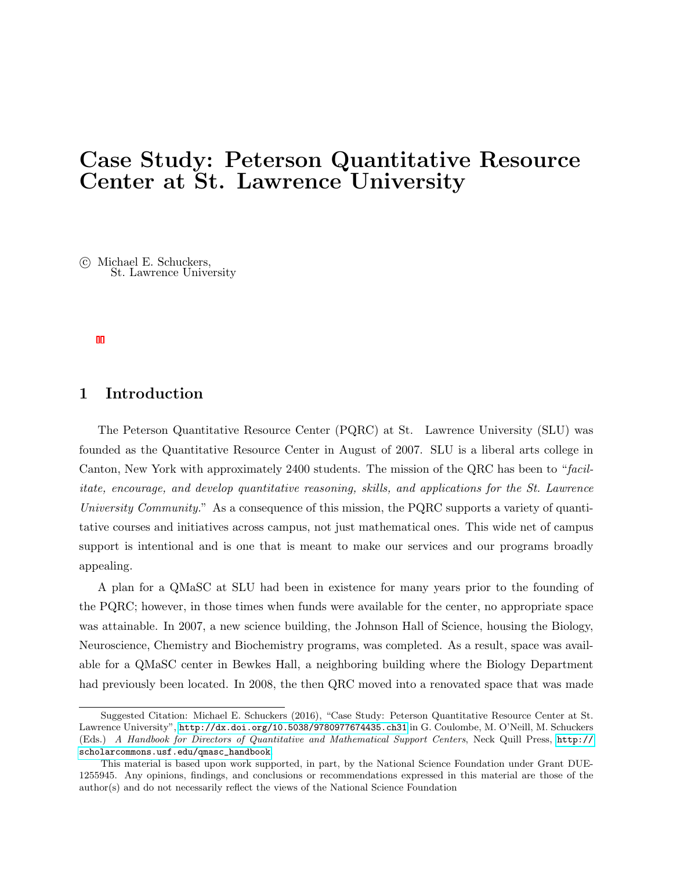## Case Study: Peterson Quantitative Resource Center at St. Lawrence University

 c Michael E. Schuckers, St. Lawrence University

#### 1 Introduction

The Peterson Quantitative Resource Center (PQRC) at St. Lawrence University (SLU) was founded as the Quantitative Resource Center in August of 2007. SLU is a liberal arts college in Canton, New York with approximately 2400 students. The mission of the QRC has been to "facilitate, encourage, and develop quantitative reasoning, skills, and applications for the St. Lawrence University Community." As a consequence of this mission, the PQRC supports a variety of quantitative courses and initiatives across campus, not just mathematical ones. This wide net of campus support is intentional and is one that is meant to make our services and our programs broadly appealing.

A plan for a QMaSC at SLU had been in existence for many years prior to the founding of the PQRC; however, in those times when funds were available for the center, no appropriate space was attainable. In 2007, a new science building, the Johnson Hall of Science, housing the Biology, Neuroscience, Chemistry and Biochemistry programs, was completed. As a result, space was available for a QMaSC center in Bewkes Hall, a neighboring building where the Biology Department had previously been located. In 2008, the then QRC moved into a renovated space that was made

Suggested Citation: Michael E. Schuckers (2016), "Case Study: Peterson Quantitative Resource Center at St. Lawrence University", <http://dx.doi.org/10.5038/9780977674435.ch31> in G. Coulombe, M. O'Neill, M. Schuckers (Eds.) A Handbook for Directors of Quantitative and Mathematical Support Centers, Neck Quill Press, [http://](http://scholarcommons.usf.edu/qmasc_handbook) [scholarcommons.usf.edu/qmasc\\_handbook](http://scholarcommons.usf.edu/qmasc_handbook).

This material is based upon work supported, in part, by the National Science Foundation under Grant DUE-1255945. Any opinions, findings, and conclusions or recommendations expressed in this material are those of the author(s) and do not necessarily reflect the views of the National Science Foundation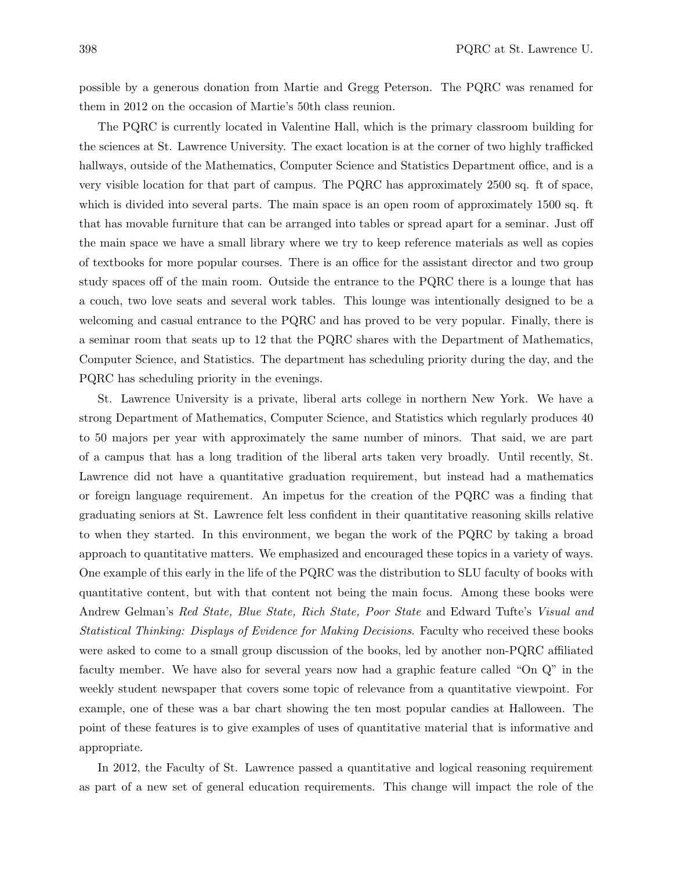possible by a generous donation from Martie and Gregg Peterson. The PQRC was renamed for them in 2012 on the occasion of Martie's 50th class reunion.

The PQRC is currently located in Valentine Hall, which is the primary classroom building for the sciences at St. Lawrence University. The exact location is at the corner of two highly trafficked hallways, outside of the Mathematics, Computer Science and Statistics Department office, and is a very visible location for that part of campus. The PQRC has approximately 2500 sq. ft of space, which is divided into several parts. The main space is an open room of approximately 1500 sq. ft that has movable furniture that can be arranged into tables or spread apart for a seminar. Just off the main space we have a small library where we try to keep reference materials as well as copies of textbooks for more popular courses. There is an office for the assistant director and two group study spaces off of the main room. Outside the entrance to the PQRC there is a lounge that has a couch, two love seats and several work tables. This lounge was intentionally designed to be a welcoming and casual entrance to the PQRC and has proved to be very popular. Finally, there is a seminar room that seats up to 12 that the PQRC shares with the Department of Mathematics, Computer Science, and Statistics. The department has scheduling priority during the day, and the PQRC has scheduling priority in the evenings.

St. Lawrence University is a private, liberal arts college in northern New York. We have a strong Department of Mathematics, Computer Science, and Statistics which regularly produces 40 to 50 majors per year with approximately the same number of minors. That said, we are part of a campus that has a long tradition of the liberal arts taken very broadly. Until recently, St. Lawrence did not have a quantitative graduation requirement, but instead had a mathematics or foreign language requirement. An impetus for the creation of the PQRC was a finding that graduating seniors at St. Lawrence felt less confident in their quantitative reasoning skills relative to when they started. In this environment, we began the work of the PQRC by taking a broad approach to quantitative matters. We emphasized and encouraged these topics in a variety of ways. One example of this early in the life of the PQRC was the distribution to SLU faculty of books with quantitative content, but with that content not being the main focus. Among these books were Andrew Gelman's Red State, Blue State, Rich State, Poor State and Edward Tufte's Visual and Statistical Thinking: Displays of Evidence for Making Decisions. Faculty who received these books were asked to come to a small group discussion of the books, led by another non-PQRC affiliated faculty member. We have also for several years now had a graphic feature called "On Q" in the weekly student newspaper that covers some topic of relevance from a quantitative viewpoint. For example, one of these was a bar chart showing the ten most popular candies at Halloween. The point of these features is to give examples of uses of quantitative material that is informative and appropriate.

In 2012, the Faculty of St. Lawrence passed a quantitative and logical reasoning requirement as part of a new set of general education requirements. This change will impact the role of the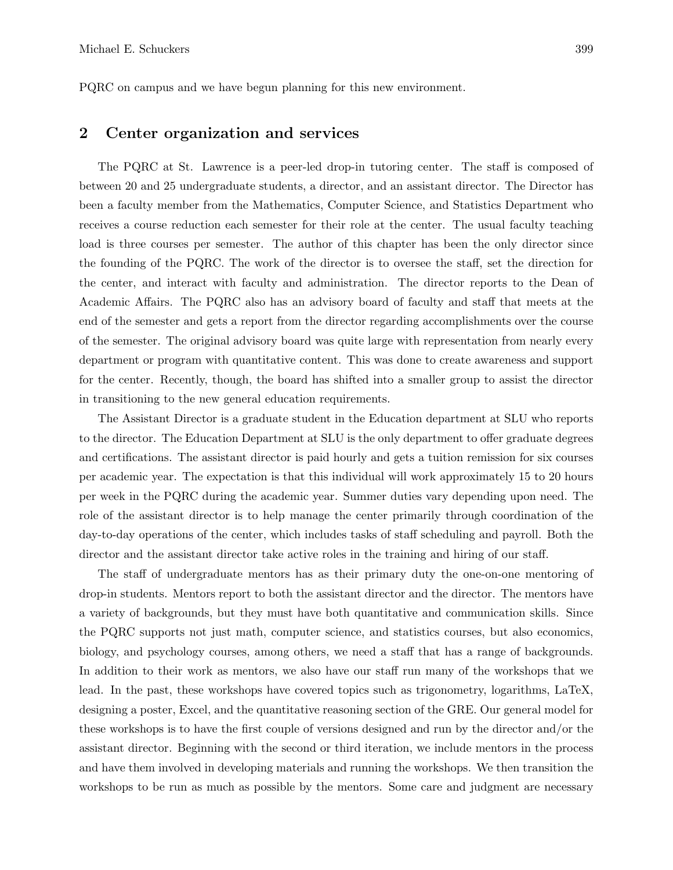PQRC on campus and we have begun planning for this new environment.

#### 2 Center organization and services

The PQRC at St. Lawrence is a peer-led drop-in tutoring center. The staff is composed of between 20 and 25 undergraduate students, a director, and an assistant director. The Director has been a faculty member from the Mathematics, Computer Science, and Statistics Department who receives a course reduction each semester for their role at the center. The usual faculty teaching load is three courses per semester. The author of this chapter has been the only director since the founding of the PQRC. The work of the director is to oversee the staff, set the direction for the center, and interact with faculty and administration. The director reports to the Dean of Academic Affairs. The PQRC also has an advisory board of faculty and staff that meets at the end of the semester and gets a report from the director regarding accomplishments over the course of the semester. The original advisory board was quite large with representation from nearly every department or program with quantitative content. This was done to create awareness and support for the center. Recently, though, the board has shifted into a smaller group to assist the director in transitioning to the new general education requirements.

The Assistant Director is a graduate student in the Education department at SLU who reports to the director. The Education Department at SLU is the only department to offer graduate degrees and certifications. The assistant director is paid hourly and gets a tuition remission for six courses per academic year. The expectation is that this individual will work approximately 15 to 20 hours per week in the PQRC during the academic year. Summer duties vary depending upon need. The role of the assistant director is to help manage the center primarily through coordination of the day-to-day operations of the center, which includes tasks of staff scheduling and payroll. Both the director and the assistant director take active roles in the training and hiring of our staff.

The staff of undergraduate mentors has as their primary duty the one-on-one mentoring of drop-in students. Mentors report to both the assistant director and the director. The mentors have a variety of backgrounds, but they must have both quantitative and communication skills. Since the PQRC supports not just math, computer science, and statistics courses, but also economics, biology, and psychology courses, among others, we need a staff that has a range of backgrounds. In addition to their work as mentors, we also have our staff run many of the workshops that we lead. In the past, these workshops have covered topics such as trigonometry, logarithms, LaTeX, designing a poster, Excel, and the quantitative reasoning section of the GRE. Our general model for these workshops is to have the first couple of versions designed and run by the director and/or the assistant director. Beginning with the second or third iteration, we include mentors in the process and have them involved in developing materials and running the workshops. We then transition the workshops to be run as much as possible by the mentors. Some care and judgment are necessary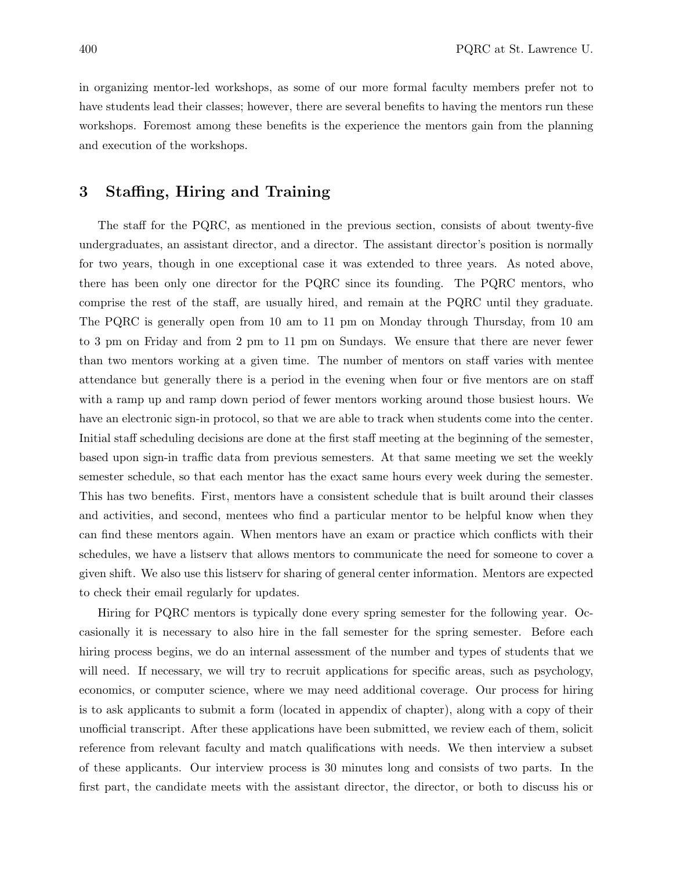in organizing mentor-led workshops, as some of our more formal faculty members prefer not to have students lead their classes; however, there are several benefits to having the mentors run these workshops. Foremost among these benefits is the experience the mentors gain from the planning and execution of the workshops.

#### 3 Staffing, Hiring and Training

The staff for the PQRC, as mentioned in the previous section, consists of about twenty-five undergraduates, an assistant director, and a director. The assistant director's position is normally for two years, though in one exceptional case it was extended to three years. As noted above, there has been only one director for the PQRC since its founding. The PQRC mentors, who comprise the rest of the staff, are usually hired, and remain at the PQRC until they graduate. The PQRC is generally open from 10 am to 11 pm on Monday through Thursday, from 10 am to 3 pm on Friday and from 2 pm to 11 pm on Sundays. We ensure that there are never fewer than two mentors working at a given time. The number of mentors on staff varies with mentee attendance but generally there is a period in the evening when four or five mentors are on staff with a ramp up and ramp down period of fewer mentors working around those busiest hours. We have an electronic sign-in protocol, so that we are able to track when students come into the center. Initial staff scheduling decisions are done at the first staff meeting at the beginning of the semester, based upon sign-in traffic data from previous semesters. At that same meeting we set the weekly semester schedule, so that each mentor has the exact same hours every week during the semester. This has two benefits. First, mentors have a consistent schedule that is built around their classes and activities, and second, mentees who find a particular mentor to be helpful know when they can find these mentors again. When mentors have an exam or practice which conflicts with their schedules, we have a listserv that allows mentors to communicate the need for someone to cover a given shift. We also use this listserv for sharing of general center information. Mentors are expected to check their email regularly for updates.

Hiring for PQRC mentors is typically done every spring semester for the following year. Occasionally it is necessary to also hire in the fall semester for the spring semester. Before each hiring process begins, we do an internal assessment of the number and types of students that we will need. If necessary, we will try to recruit applications for specific areas, such as psychology, economics, or computer science, where we may need additional coverage. Our process for hiring is to ask applicants to submit a form (located in appendix of chapter), along with a copy of their unofficial transcript. After these applications have been submitted, we review each of them, solicit reference from relevant faculty and match qualifications with needs. We then interview a subset of these applicants. Our interview process is 30 minutes long and consists of two parts. In the first part, the candidate meets with the assistant director, the director, or both to discuss his or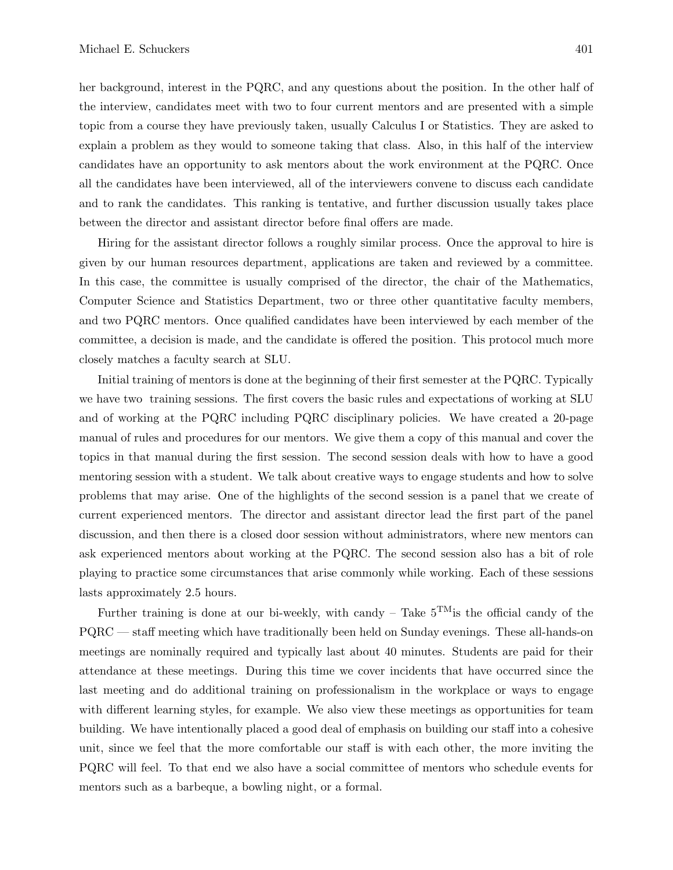her background, interest in the PQRC, and any questions about the position. In the other half of the interview, candidates meet with two to four current mentors and are presented with a simple topic from a course they have previously taken, usually Calculus I or Statistics. They are asked to explain a problem as they would to someone taking that class. Also, in this half of the interview candidates have an opportunity to ask mentors about the work environment at the PQRC. Once all the candidates have been interviewed, all of the interviewers convene to discuss each candidate and to rank the candidates. This ranking is tentative, and further discussion usually takes place between the director and assistant director before final offers are made.

Hiring for the assistant director follows a roughly similar process. Once the approval to hire is given by our human resources department, applications are taken and reviewed by a committee. In this case, the committee is usually comprised of the director, the chair of the Mathematics, Computer Science and Statistics Department, two or three other quantitative faculty members, and two PQRC mentors. Once qualified candidates have been interviewed by each member of the committee, a decision is made, and the candidate is offered the position. This protocol much more closely matches a faculty search at SLU.

Initial training of mentors is done at the beginning of their first semester at the PQRC. Typically we have two training sessions. The first covers the basic rules and expectations of working at SLU and of working at the PQRC including PQRC disciplinary policies. We have created a 20-page manual of rules and procedures for our mentors. We give them a copy of this manual and cover the topics in that manual during the first session. The second session deals with how to have a good mentoring session with a student. We talk about creative ways to engage students and how to solve problems that may arise. One of the highlights of the second session is a panel that we create of current experienced mentors. The director and assistant director lead the first part of the panel discussion, and then there is a closed door session without administrators, where new mentors can ask experienced mentors about working at the PQRC. The second session also has a bit of role playing to practice some circumstances that arise commonly while working. Each of these sessions lasts approximately 2.5 hours.

Further training is done at our bi-weekly, with candy – Take  $5^{TM}$  is the official candy of the PQRC — staff meeting which have traditionally been held on Sunday evenings. These all-hands-on meetings are nominally required and typically last about 40 minutes. Students are paid for their attendance at these meetings. During this time we cover incidents that have occurred since the last meeting and do additional training on professionalism in the workplace or ways to engage with different learning styles, for example. We also view these meetings as opportunities for team building. We have intentionally placed a good deal of emphasis on building our staff into a cohesive unit, since we feel that the more comfortable our staff is with each other, the more inviting the PQRC will feel. To that end we also have a social committee of mentors who schedule events for mentors such as a barbeque, a bowling night, or a formal.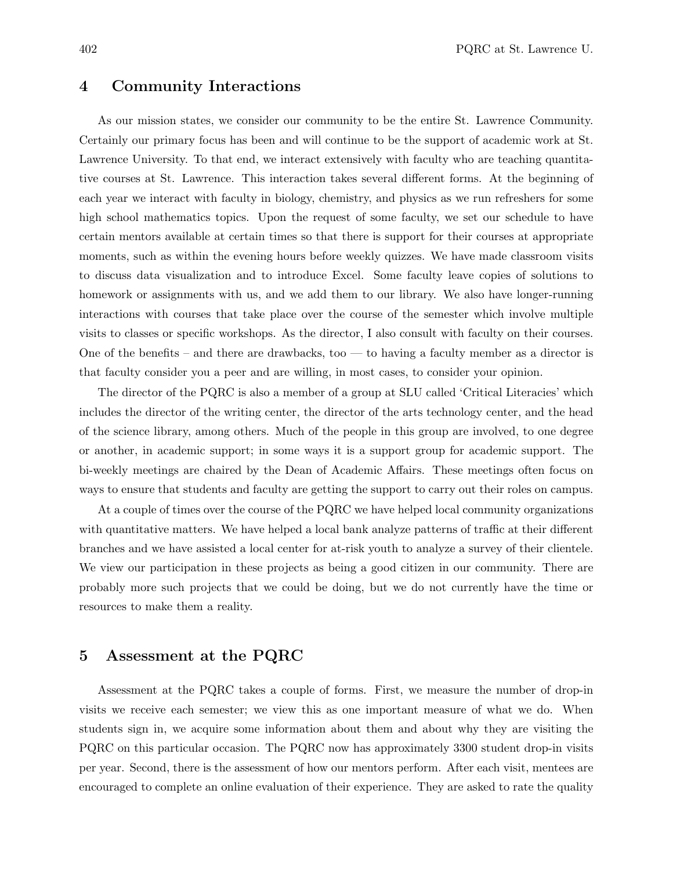#### 4 Community Interactions

As our mission states, we consider our community to be the entire St. Lawrence Community. Certainly our primary focus has been and will continue to be the support of academic work at St. Lawrence University. To that end, we interact extensively with faculty who are teaching quantitative courses at St. Lawrence. This interaction takes several different forms. At the beginning of each year we interact with faculty in biology, chemistry, and physics as we run refreshers for some high school mathematics topics. Upon the request of some faculty, we set our schedule to have certain mentors available at certain times so that there is support for their courses at appropriate moments, such as within the evening hours before weekly quizzes. We have made classroom visits to discuss data visualization and to introduce Excel. Some faculty leave copies of solutions to homework or assignments with us, and we add them to our library. We also have longer-running interactions with courses that take place over the course of the semester which involve multiple visits to classes or specific workshops. As the director, I also consult with faculty on their courses. One of the benefits – and there are drawbacks, too — to having a faculty member as a director is that faculty consider you a peer and are willing, in most cases, to consider your opinion.

The director of the PQRC is also a member of a group at SLU called 'Critical Literacies' which includes the director of the writing center, the director of the arts technology center, and the head of the science library, among others. Much of the people in this group are involved, to one degree or another, in academic support; in some ways it is a support group for academic support. The bi-weekly meetings are chaired by the Dean of Academic Affairs. These meetings often focus on ways to ensure that students and faculty are getting the support to carry out their roles on campus.

At a couple of times over the course of the PQRC we have helped local community organizations with quantitative matters. We have helped a local bank analyze patterns of traffic at their different branches and we have assisted a local center for at-risk youth to analyze a survey of their clientele. We view our participation in these projects as being a good citizen in our community. There are probably more such projects that we could be doing, but we do not currently have the time or resources to make them a reality.

#### 5 Assessment at the PQRC

Assessment at the PQRC takes a couple of forms. First, we measure the number of drop-in visits we receive each semester; we view this as one important measure of what we do. When students sign in, we acquire some information about them and about why they are visiting the PQRC on this particular occasion. The PQRC now has approximately 3300 student drop-in visits per year. Second, there is the assessment of how our mentors perform. After each visit, mentees are encouraged to complete an online evaluation of their experience. They are asked to rate the quality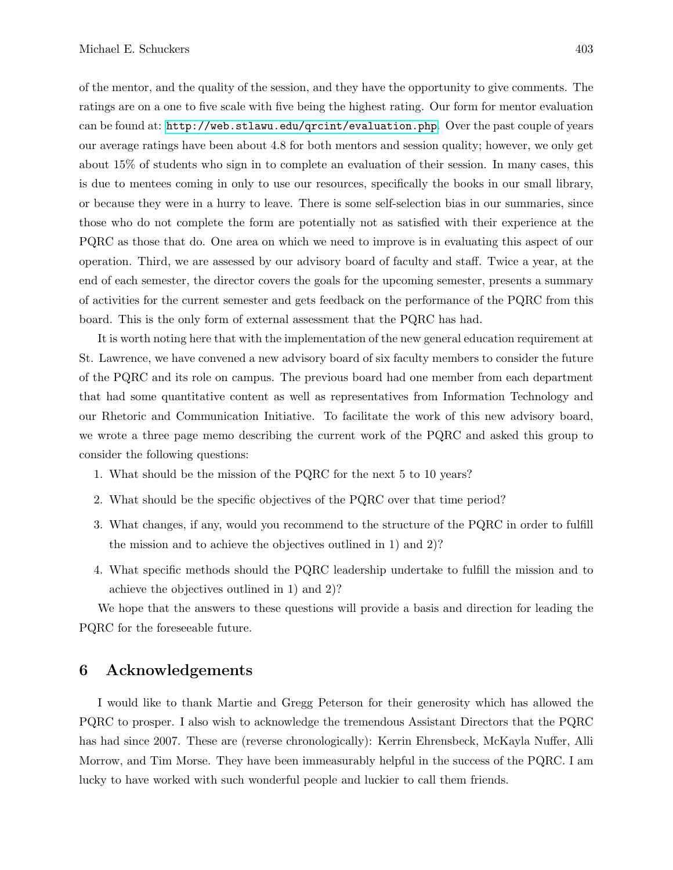of the mentor, and the quality of the session, and they have the opportunity to give comments. The ratings are on a one to five scale with five being the highest rating. Our form for mentor evaluation can be found at: <http://web.stlawu.edu/qrcint/evaluation.php>. Over the past couple of years our average ratings have been about 4.8 for both mentors and session quality; however, we only get about 15% of students who sign in to complete an evaluation of their session. In many cases, this is due to mentees coming in only to use our resources, specifically the books in our small library, or because they were in a hurry to leave. There is some self-selection bias in our summaries, since those who do not complete the form are potentially not as satisfied with their experience at the PQRC as those that do. One area on which we need to improve is in evaluating this aspect of our operation. Third, we are assessed by our advisory board of faculty and staff. Twice a year, at the end of each semester, the director covers the goals for the upcoming semester, presents a summary of activities for the current semester and gets feedback on the performance of the PQRC from this board. This is the only form of external assessment that the PQRC has had.

It is worth noting here that with the implementation of the new general education requirement at St. Lawrence, we have convened a new advisory board of six faculty members to consider the future of the PQRC and its role on campus. The previous board had one member from each department that had some quantitative content as well as representatives from Information Technology and our Rhetoric and Communication Initiative. To facilitate the work of this new advisory board, we wrote a three page memo describing the current work of the PQRC and asked this group to consider the following questions:

- 1. What should be the mission of the PQRC for the next 5 to 10 years?
- 2. What should be the specific objectives of the PQRC over that time period?
- 3. What changes, if any, would you recommend to the structure of the PQRC in order to fulfill the mission and to achieve the objectives outlined in 1) and 2)?
- 4. What specific methods should the PQRC leadership undertake to fulfill the mission and to achieve the objectives outlined in 1) and 2)?

We hope that the answers to these questions will provide a basis and direction for leading the PQRC for the foreseeable future.

#### 6 Acknowledgements

I would like to thank Martie and Gregg Peterson for their generosity which has allowed the PQRC to prosper. I also wish to acknowledge the tremendous Assistant Directors that the PQRC has had since 2007. These are (reverse chronologically): Kerrin Ehrensbeck, McKayla Nuffer, Alli Morrow, and Tim Morse. They have been immeasurably helpful in the success of the PQRC. I am lucky to have worked with such wonderful people and luckier to call them friends.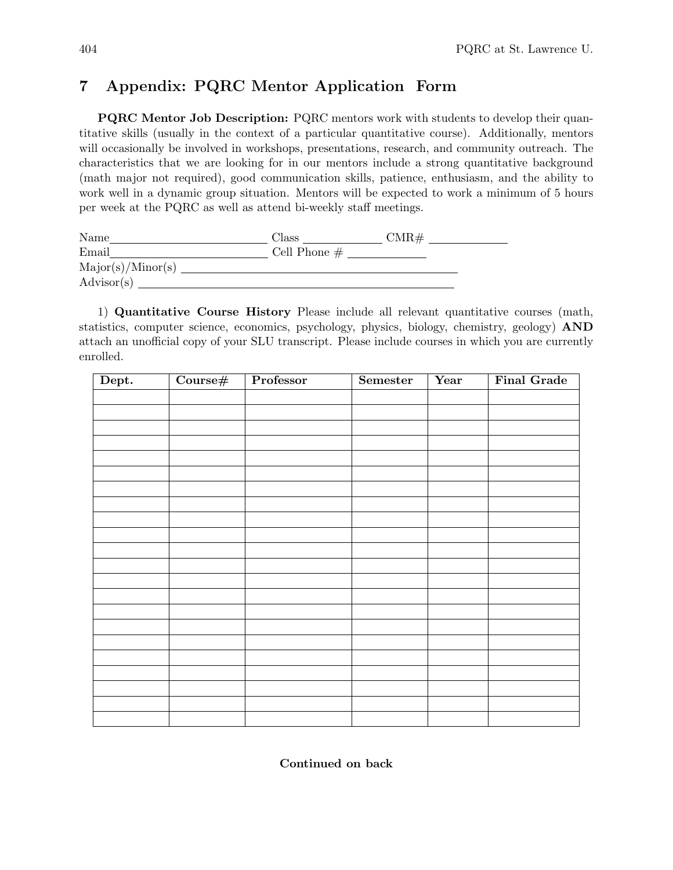### 7 Appendix: PQRC Mentor Application Form

PQRC Mentor Job Description: PQRC mentors work with students to develop their quantitative skills (usually in the context of a particular quantitative course). Additionally, mentors will occasionally be involved in workshops, presentations, research, and community outreach. The characteristics that we are looking for in our mentors include a strong quantitative background (math major not required), good communication skills, patience, enthusiasm, and the ability to work well in a dynamic group situation. Mentors will be expected to work a minimum of 5 hours per week at the PQRC as well as attend bi-weekly staff meetings.

| Name                | Class          | CMR# |
|---------------------|----------------|------|
| Email               | Cell Phone $#$ |      |
| Major(s)/Minor(s)   |                |      |
| $\text{Advisor}(s)$ |                |      |

1) Quantitative Course History Please include all relevant quantitative courses (math, statistics, computer science, economics, psychology, physics, biology, chemistry, geology) AND attach an unofficial copy of your SLU transcript. Please include courses in which you are currently enrolled.

| Dept. | $\frac{1}{2}$ Course# | Professor | Semester | Year | <b>Final Grade</b> |
|-------|-----------------------|-----------|----------|------|--------------------|
|       |                       |           |          |      |                    |
|       |                       |           |          |      |                    |
|       |                       |           |          |      |                    |
|       |                       |           |          |      |                    |
|       |                       |           |          |      |                    |
|       |                       |           |          |      |                    |
|       |                       |           |          |      |                    |
|       |                       |           |          |      |                    |
|       |                       |           |          |      |                    |
|       |                       |           |          |      |                    |
|       |                       |           |          |      |                    |
|       |                       |           |          |      |                    |
|       |                       |           |          |      |                    |
|       |                       |           |          |      |                    |
|       |                       |           |          |      |                    |
|       |                       |           |          |      |                    |
|       |                       |           |          |      |                    |
|       |                       |           |          |      |                    |
|       |                       |           |          |      |                    |
|       |                       |           |          |      |                    |
|       |                       |           |          |      |                    |
|       |                       |           |          |      |                    |

Continued on back